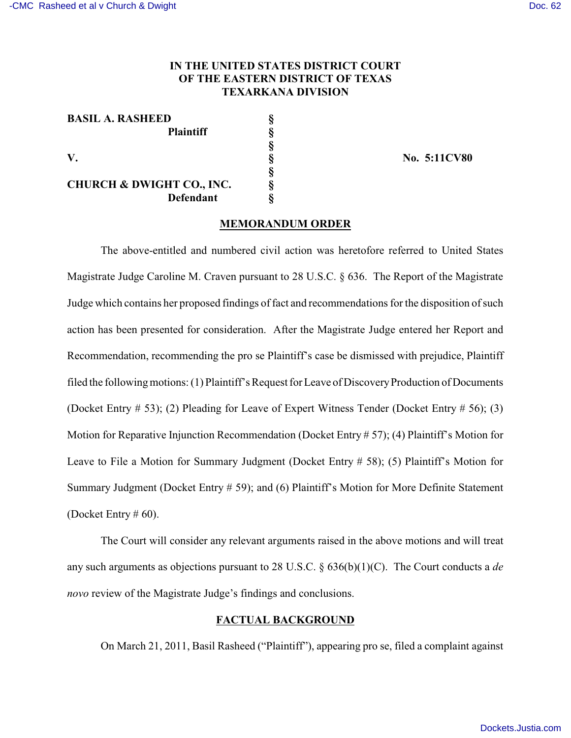# **IN THE UNITED STATES DISTRICT COURT OF THE EASTERN DISTRICT OF TEXAS TEXARKANA DIVISION**

| <b>BASIL A. RASHEED</b>              |   |
|--------------------------------------|---|
| <b>Plaintiff</b>                     |   |
|                                      |   |
| V.                                   |   |
|                                      |   |
| <b>CHURCH &amp; DWIGHT CO., INC.</b> | ş |
| <b>Defendant</b>                     |   |

**V. § No. 5:11CV80**

#### **MEMORANDUM ORDER**

The above-entitled and numbered civil action was heretofore referred to United States Magistrate Judge Caroline M. Craven pursuant to 28 U.S.C. § 636. The Report of the Magistrate Judge which contains her proposed findings of fact and recommendations for the disposition of such action has been presented for consideration. After the Magistrate Judge entered her Report and Recommendation, recommending the pro se Plaintiff's case be dismissed with prejudice, Plaintiff filed the following motions: (1) Plaintiff's Request for Leave of Discovery Production of Documents (Docket Entry # 53); (2) Pleading for Leave of Expert Witness Tender (Docket Entry # 56); (3) Motion for Reparative Injunction Recommendation (Docket Entry # 57); (4) Plaintiff's Motion for Leave to File a Motion for Summary Judgment (Docket Entry # 58); (5) Plaintiff's Motion for Summary Judgment (Docket Entry # 59); and (6) Plaintiff's Motion for More Definite Statement (Docket Entry  $\#$  60).

The Court will consider any relevant arguments raised in the above motions and will treat any such arguments as objections pursuant to 28 U.S.C. § 636(b)(1)(C). The Court conducts a *de novo* review of the Magistrate Judge's findings and conclusions.

## **FACTUAL BACKGROUND**

On March 21, 2011, Basil Rasheed ("Plaintiff"), appearing pro se, filed a complaint against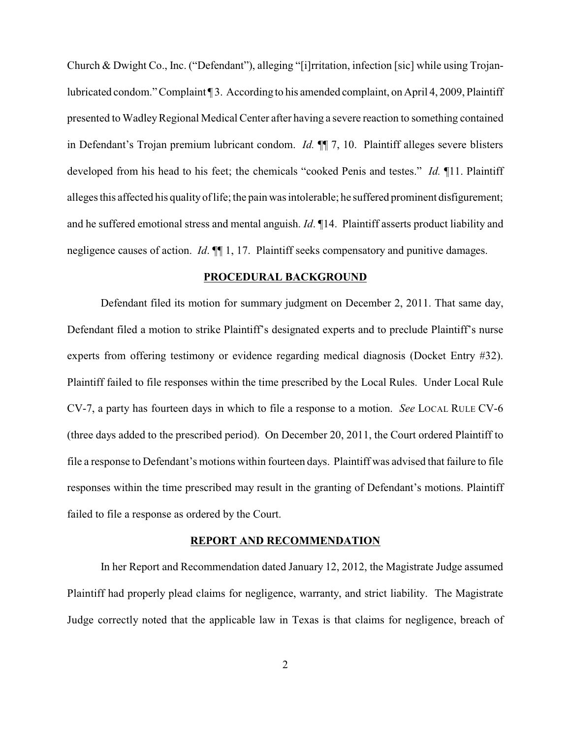Church & Dwight Co., Inc. ("Defendant"), alleging "[i]rritation, infection [sic] while using Trojanlubricated condom." Complaint ¶ 3. According to his amended complaint, on April 4, 2009, Plaintiff presented to Wadley Regional Medical Center after having a severe reaction to something contained in Defendant's Trojan premium lubricant condom. *Id.* ¶¶ 7, 10. Plaintiff alleges severe blisters developed from his head to his feet; the chemicals "cooked Penis and testes." *Id.* ¶11. Plaintiff alleges this affected his qualityof life; the pain was intolerable; he suffered prominent disfigurement; and he suffered emotional stress and mental anguish. *Id*. ¶14. Plaintiff asserts product liability and negligence causes of action. *Id*.  $\P$  1, 17. Plaintiff seeks compensatory and punitive damages.

## **PROCEDURAL BACKGROUND**

Defendant filed its motion for summary judgment on December 2, 2011. That same day, Defendant filed a motion to strike Plaintiff's designated experts and to preclude Plaintiff's nurse experts from offering testimony or evidence regarding medical diagnosis (Docket Entry #32). Plaintiff failed to file responses within the time prescribed by the Local Rules. Under Local Rule CV-7, a party has fourteen days in which to file a response to a motion. *See* LOCAL RULE CV-6 (three days added to the prescribed period). On December 20, 2011, the Court ordered Plaintiff to file a response to Defendant's motions within fourteen days. Plaintiff was advised that failure to file responses within the time prescribed may result in the granting of Defendant's motions. Plaintiff failed to file a response as ordered by the Court.

## **REPORT AND RECOMMENDATION**

In her Report and Recommendation dated January 12, 2012, the Magistrate Judge assumed Plaintiff had properly plead claims for negligence, warranty, and strict liability. The Magistrate Judge correctly noted that the applicable law in Texas is that claims for negligence, breach of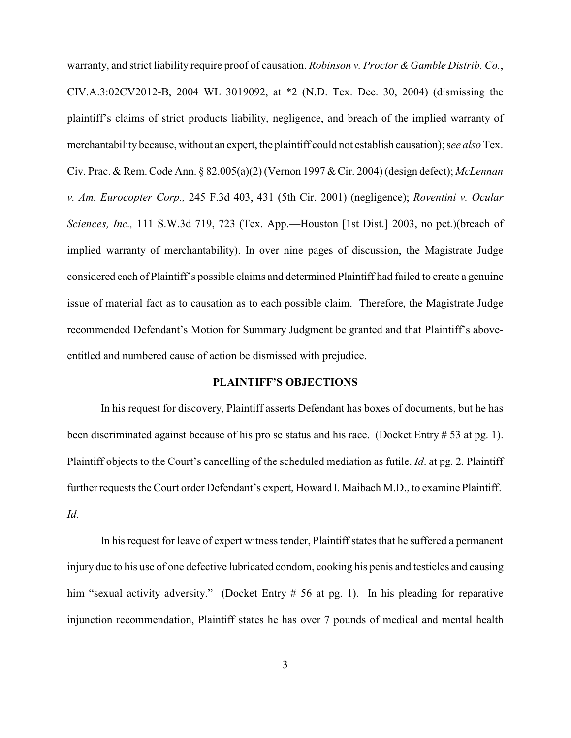warranty, and strict liability require proof of causation. *Robinson v. Proctor & Gamble Distrib. Co.*, CIV.A.3:02CV2012-B, 2004 WL 3019092, at \*2 (N.D. Tex. Dec. 30, 2004) (dismissing the plaintiff's claims of strict products liability, negligence, and breach of the implied warranty of merchantability because, without an expert, the plaintiff could not establish causation); s*ee also* Tex. Civ. Prac. & Rem. Code Ann. § 82.005(a)(2) (Vernon 1997 & Cir. 2004) (design defect); *McLennan v. Am. Eurocopter Corp.,* 245 F.3d 403, 431 (5th Cir. 2001) (negligence); *Roventini v. Ocular Sciences, Inc.,* 111 S.W.3d 719, 723 (Tex. App.—Houston [1st Dist.] 2003, no pet.)(breach of implied warranty of merchantability). In over nine pages of discussion, the Magistrate Judge considered each of Plaintiff's possible claims and determined Plaintiff had failed to create a genuine issue of material fact as to causation as to each possible claim. Therefore, the Magistrate Judge recommended Defendant's Motion for Summary Judgment be granted and that Plaintiff's aboveentitled and numbered cause of action be dismissed with prejudice.

### **PLAINTIFF'S OBJECTIONS**

In his request for discovery, Plaintiff asserts Defendant has boxes of documents, but he has been discriminated against because of his pro se status and his race. (Docket Entry # 53 at pg. 1). Plaintiff objects to the Court's cancelling of the scheduled mediation as futile. *Id*. at pg. 2. Plaintiff further requests the Court order Defendant's expert, Howard I. Maibach M.D., to examine Plaintiff. *Id.*

In his request for leave of expert witness tender, Plaintiff states that he suffered a permanent injury due to his use of one defective lubricated condom, cooking his penis and testicles and causing him "sexual activity adversity." (Docket Entry # 56 at pg. 1). In his pleading for reparative injunction recommendation, Plaintiff states he has over 7 pounds of medical and mental health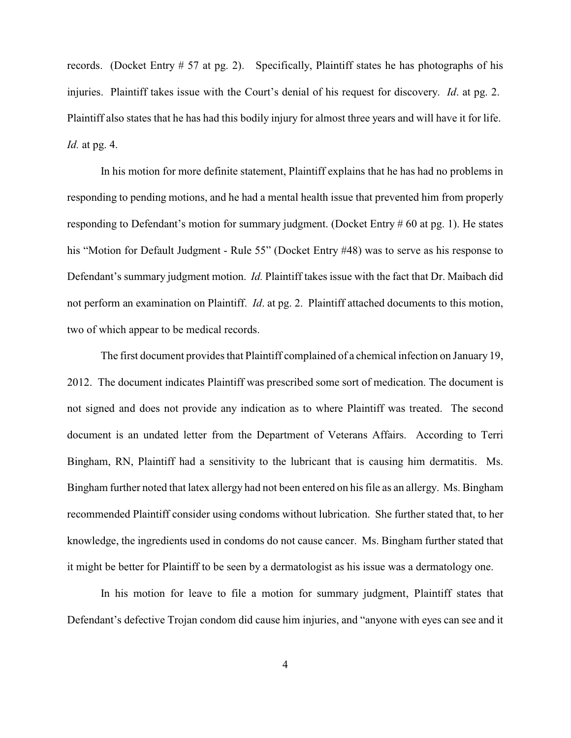records. (Docket Entry # 57 at pg. 2). Specifically, Plaintiff states he has photographs of his injuries. Plaintiff takes issue with the Court's denial of his request for discovery. *Id*. at pg. 2. Plaintiff also states that he has had this bodily injury for almost three years and will have it for life. *Id.* at pg. 4.

In his motion for more definite statement, Plaintiff explains that he has had no problems in responding to pending motions, and he had a mental health issue that prevented him from properly responding to Defendant's motion for summary judgment. (Docket Entry # 60 at pg. 1). He states his "Motion for Default Judgment - Rule 55" (Docket Entry #48) was to serve as his response to Defendant's summary judgment motion. *Id.* Plaintiff takes issue with the fact that Dr. Maibach did not perform an examination on Plaintiff. *Id*. at pg. 2. Plaintiff attached documents to this motion, two of which appear to be medical records.

The first document provides that Plaintiff complained of a chemical infection on January 19, 2012. The document indicates Plaintiff was prescribed some sort of medication. The document is not signed and does not provide any indication as to where Plaintiff was treated. The second document is an undated letter from the Department of Veterans Affairs. According to Terri Bingham, RN, Plaintiff had a sensitivity to the lubricant that is causing him dermatitis. Ms. Bingham further noted that latex allergy had not been entered on his file as an allergy. Ms. Bingham recommended Plaintiff consider using condoms without lubrication. She further stated that, to her knowledge, the ingredients used in condoms do not cause cancer. Ms. Bingham further stated that it might be better for Plaintiff to be seen by a dermatologist as his issue was a dermatology one.

In his motion for leave to file a motion for summary judgment, Plaintiff states that Defendant's defective Trojan condom did cause him injuries, and "anyone with eyes can see and it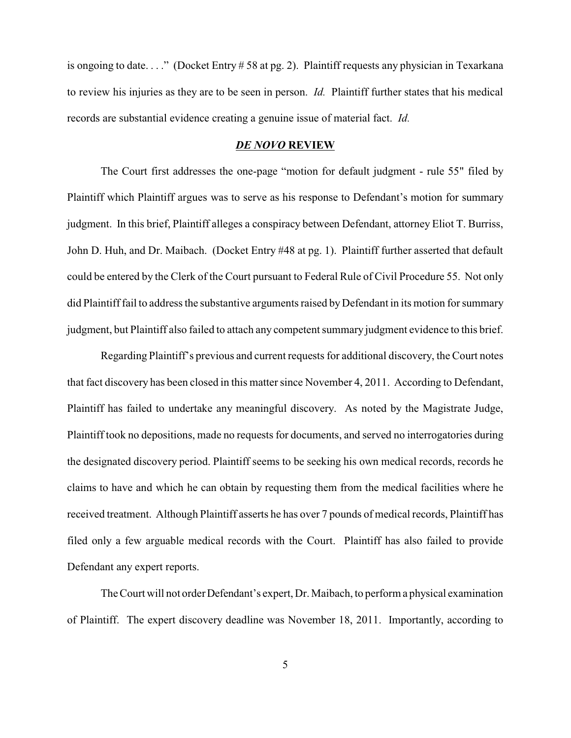is ongoing to date. . . ." (Docket Entry # 58 at pg. 2). Plaintiff requests any physician in Texarkana to review his injuries as they are to be seen in person. *Id.* Plaintiff further states that his medical records are substantial evidence creating a genuine issue of material fact. *Id.*

### *DE NOVO* **REVIEW**

The Court first addresses the one-page "motion for default judgment - rule 55" filed by Plaintiff which Plaintiff argues was to serve as his response to Defendant's motion for summary judgment. In this brief, Plaintiff alleges a conspiracy between Defendant, attorney Eliot T. Burriss, John D. Huh, and Dr. Maibach. (Docket Entry #48 at pg. 1). Plaintiff further asserted that default could be entered by the Clerk of the Court pursuant to Federal Rule of Civil Procedure 55. Not only did Plaintiff fail to address the substantive arguments raised by Defendant in its motion for summary judgment, but Plaintiff also failed to attach any competent summary judgment evidence to this brief.

Regarding Plaintiff's previous and current requests for additional discovery, the Court notes that fact discovery has been closed in this matter since November 4, 2011. According to Defendant, Plaintiff has failed to undertake any meaningful discovery. As noted by the Magistrate Judge, Plaintiff took no depositions, made no requests for documents, and served no interrogatories during the designated discovery period. Plaintiff seems to be seeking his own medical records, records he claims to have and which he can obtain by requesting them from the medical facilities where he received treatment. Although Plaintiff asserts he has over 7 pounds of medical records, Plaintiff has filed only a few arguable medical records with the Court. Plaintiff has also failed to provide Defendant any expert reports.

The Court will not order Defendant's expert, Dr. Maibach, to perform a physical examination of Plaintiff. The expert discovery deadline was November 18, 2011. Importantly, according to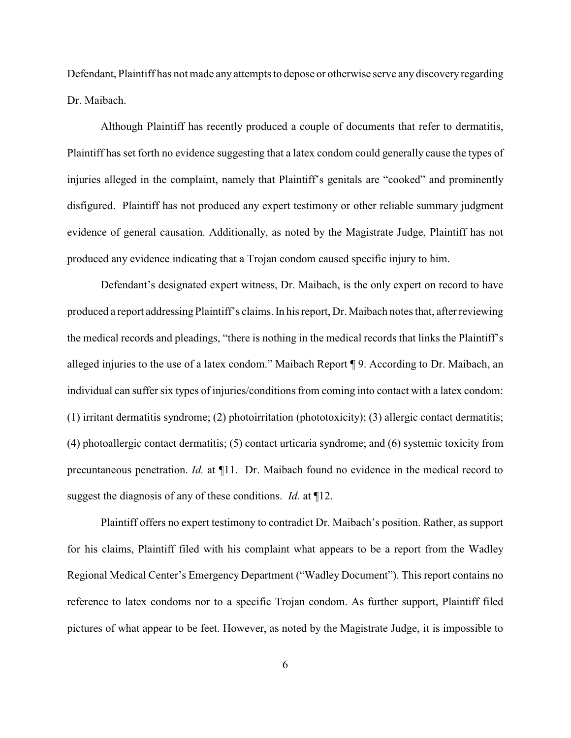Defendant, Plaintiff has not made any attempts to depose or otherwise serve any discovery regarding Dr. Maibach.

Although Plaintiff has recently produced a couple of documents that refer to dermatitis, Plaintiff has set forth no evidence suggesting that a latex condom could generally cause the types of injuries alleged in the complaint, namely that Plaintiff's genitals are "cooked" and prominently disfigured. Plaintiff has not produced any expert testimony or other reliable summary judgment evidence of general causation. Additionally, as noted by the Magistrate Judge, Plaintiff has not produced any evidence indicating that a Trojan condom caused specific injury to him.

Defendant's designated expert witness, Dr. Maibach, is the only expert on record to have produced a report addressing Plaintiff's claims. In his report, Dr. Maibach notes that, after reviewing the medical records and pleadings, "there is nothing in the medical records that links the Plaintiff's alleged injuries to the use of a latex condom." Maibach Report ¶ 9. According to Dr. Maibach, an individual can suffer six types of injuries/conditions from coming into contact with a latex condom: (1) irritant dermatitis syndrome; (2) photoirritation (phototoxicity); (3) allergic contact dermatitis; (4) photoallergic contact dermatitis; (5) contact urticaria syndrome; and (6) systemic toxicity from precuntaneous penetration. *Id.* at ¶11. Dr. Maibach found no evidence in the medical record to suggest the diagnosis of any of these conditions. *Id.* at ¶12.

Plaintiff offers no expert testimony to contradict Dr. Maibach's position. Rather, as support for his claims, Plaintiff filed with his complaint what appears to be a report from the Wadley Regional Medical Center's Emergency Department ("Wadley Document"). This report contains no reference to latex condoms nor to a specific Trojan condom. As further support, Plaintiff filed pictures of what appear to be feet. However, as noted by the Magistrate Judge, it is impossible to